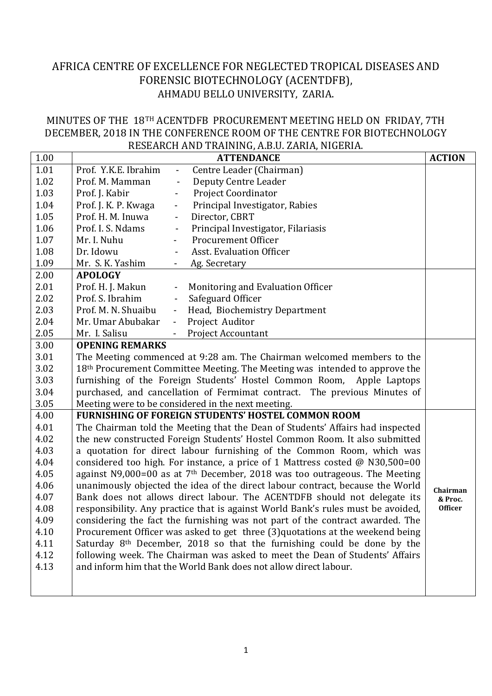## AFRICA CENTRE OF EXCELLENCE FOR NEGLECTED TROPICAL DISEASES AND FORENSIC BIOTECHNOLOGY (ACENTDFB), AHMADU BELLO UNIVERSITY, ZARIA.

## MINUTES OF THE 18TH ACENTDFB PROCUREMENT MEETING HELD ON FRIDAY, 7TH DECEMBER, 2018 IN THE CONFERENCE ROOM OF THE CENTRE FOR BIOTECHNOLOGY RESEARCH AND TRAINING, A.B.U. ZARIA, NIGERIA.

|      |                                                                                            | www.communication.com/2010/01/2010/01/2010                                       |                |
|------|--------------------------------------------------------------------------------------------|----------------------------------------------------------------------------------|----------------|
| 1.00 |                                                                                            | <b>ATTENDANCE</b>                                                                | <b>ACTION</b>  |
| 1.01 | Prof. Y.K.E. Ibrahim<br>$\overline{\phantom{m}}$                                           | Centre Leader (Chairman)                                                         |                |
| 1.02 | Prof. M. Mamman<br>$\blacksquare$                                                          | Deputy Centre Leader                                                             |                |
| 1.03 | Prof. J. Kabir                                                                             | <b>Project Coordinator</b>                                                       |                |
| 1.04 | Prof. J. K. P. Kwaga<br>$\overline{\phantom{a}}$                                           | Principal Investigator, Rabies                                                   |                |
| 1.05 | Prof. H. M. Inuwa<br>$\overline{\phantom{a}}$                                              | Director, CBRT                                                                   |                |
| 1.06 | Prof. I. S. Ndams<br>$\qquad \qquad \blacksquare$                                          | Principal Investigator, Filariasis                                               |                |
| 1.07 | Mr. I. Nuhu<br>$\qquad \qquad \blacksquare$                                                | <b>Procurement Officer</b>                                                       |                |
| 1.08 | Dr. Idowu                                                                                  | <b>Asst. Evaluation Officer</b>                                                  |                |
| 1.09 | Mr. S. K. Yashim                                                                           | Ag. Secretary                                                                    |                |
| 2.00 | <b>APOLOGY</b>                                                                             |                                                                                  |                |
| 2.01 | Prof. H. J. Makun<br>$\blacksquare$                                                        | Monitoring and Evaluation Officer                                                |                |
| 2.02 | Prof. S. Ibrahim<br>$\overline{\phantom{a}}$                                               | Safeguard Officer                                                                |                |
| 2.03 | Prof. M. N. Shuaibu<br>$\blacksquare$                                                      | Head, Biochemistry Department                                                    |                |
| 2.04 | Mr. Umar Abubakar<br>$\blacksquare$                                                        | Project Auditor                                                                  |                |
| 2.05 | Mr. I. Salisu                                                                              | <b>Project Accountant</b>                                                        |                |
| 3.00 | <b>OPENING REMARKS</b>                                                                     |                                                                                  |                |
| 3.01 | The Meeting commenced at 9:28 am. The Chairman welcomed members to the                     |                                                                                  |                |
| 3.02 |                                                                                            | 18th Procurement Committee Meeting. The Meeting was intended to approve the      |                |
| 3.03 |                                                                                            | furnishing of the Foreign Students' Hostel Common Room, Apple Laptops            |                |
| 3.04 |                                                                                            | purchased, and cancellation of Fermimat contract. The previous Minutes of        |                |
| 3.05 | Meeting were to be considered in the next meeting.                                         |                                                                                  |                |
| 4.00 |                                                                                            | <b>FURNISHING OF FOREIGN STUDENTS' HOSTEL COMMON ROOM</b>                        |                |
| 4.01 |                                                                                            | The Chairman told the Meeting that the Dean of Students' Affairs had inspected   |                |
| 4.02 |                                                                                            | the new constructed Foreign Students' Hostel Common Room. It also submitted      |                |
| 4.03 | a quotation for direct labour furnishing of the Common Room, which was                     |                                                                                  |                |
| 4.04 | considered too high. For instance, a price of 1 Mattress costed @ N30,500=00               |                                                                                  |                |
| 4.05 | against N9,000=00 as at $7th$ December, 2018 was too outrageous. The Meeting               |                                                                                  |                |
| 4.06 | unanimously objected the idea of the direct labour contract, because the World<br>Chairman |                                                                                  |                |
| 4.07 | Bank does not allows direct labour. The ACENTDFB should not delegate its<br>& Proc.        |                                                                                  |                |
| 4.08 |                                                                                            | responsibility. Any practice that is against World Bank's rules must be avoided, | <b>Officer</b> |
| 4.09 |                                                                                            | considering the fact the furnishing was not part of the contract awarded. The    |                |
| 4.10 |                                                                                            | Procurement Officer was asked to get three (3) quotations at the weekend being   |                |
| 4.11 | Saturday 8 <sup>th</sup> December, 2018 so that the furnishing could be done by the        |                                                                                  |                |
| 4.12 | following week. The Chairman was asked to meet the Dean of Students' Affairs               |                                                                                  |                |
| 4.13 | and inform him that the World Bank does not allow direct labour.                           |                                                                                  |                |
|      |                                                                                            |                                                                                  |                |
|      |                                                                                            |                                                                                  |                |